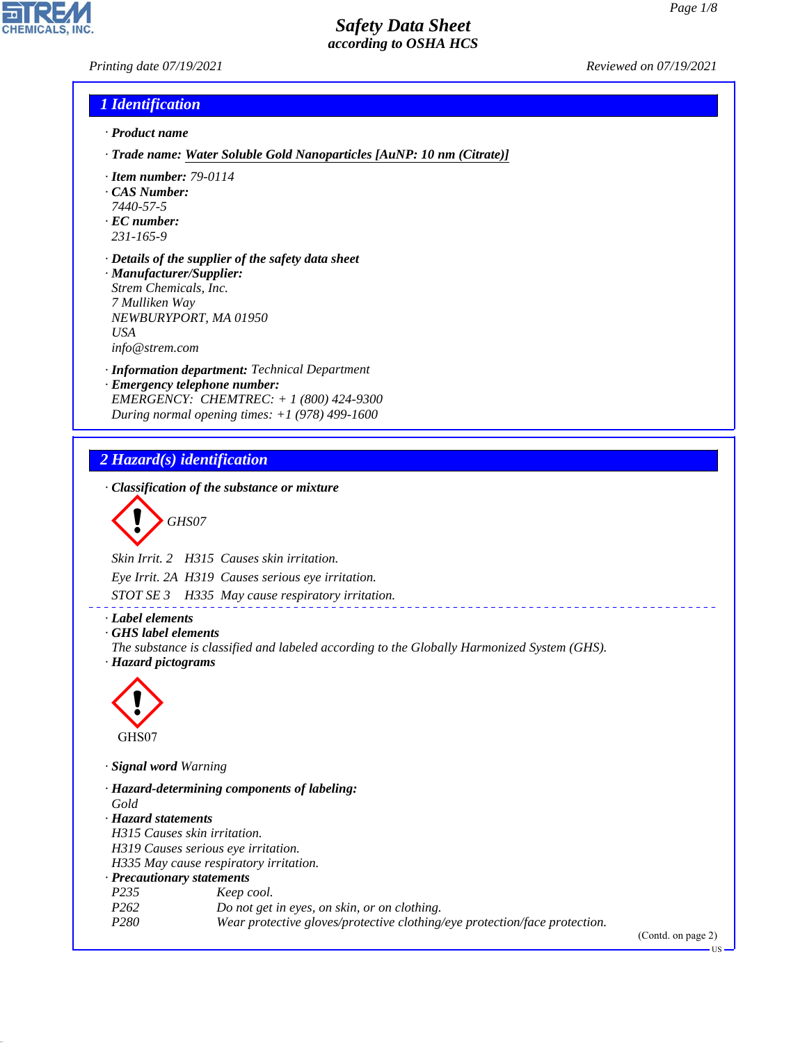*Printing date 07/19/2021 Reviewed on 07/19/2021*

# *1 Identification*

- *· Product name*
- *· Trade name: Water Soluble Gold Nanoparticles [AuNP: 10 nm (Citrate)]*
- *· Item number: 79-0114*
- *· CAS Number:*
- *7440-57-5*
- *· EC number: 231-165-9*
- *· Details of the supplier of the safety data sheet · Manufacturer/Supplier:*
- *Strem Chemicals, Inc. 7 Mulliken Way NEWBURYPORT, MA 01950 USA info@strem.com*
- *· Information department: Technical Department*
- *· Emergency telephone number: EMERGENCY: CHEMTREC: + 1 (800) 424-9300 During normal opening times: +1 (978) 499-1600*

### *2 Hazard(s) identification*

*· Classification of the substance or mixture*

$$
\bigotimes \mathrm{GH}S07
$$

*Skin Irrit. 2 H315 Causes skin irritation.*

*Eye Irrit. 2A H319 Causes serious eye irritation.*

*STOT SE 3 H335 May cause respiratory irritation.*

*· Label elements*

*· GHS label elements*

*The substance is classified and labeled according to the Globally Harmonized System (GHS). · Hazard pictograms*

\_\_\_\_\_\_\_\_\_\_\_\_\_\_\_\_\_\_\_\_\_\_\_



44.1.1

*· Signal word Warning*

*· Hazard-determining components of labeling: Gold · Hazard statements H315 Causes skin irritation. H319 Causes serious eye irritation. H335 May cause respiratory irritation. · Precautionary statements P235 Keep cool. P262 Do not get in eyes, on skin, or on clothing. P280 Wear protective gloves/protective clothing/eye protection/face protection.*

(Contd. on page 2)

US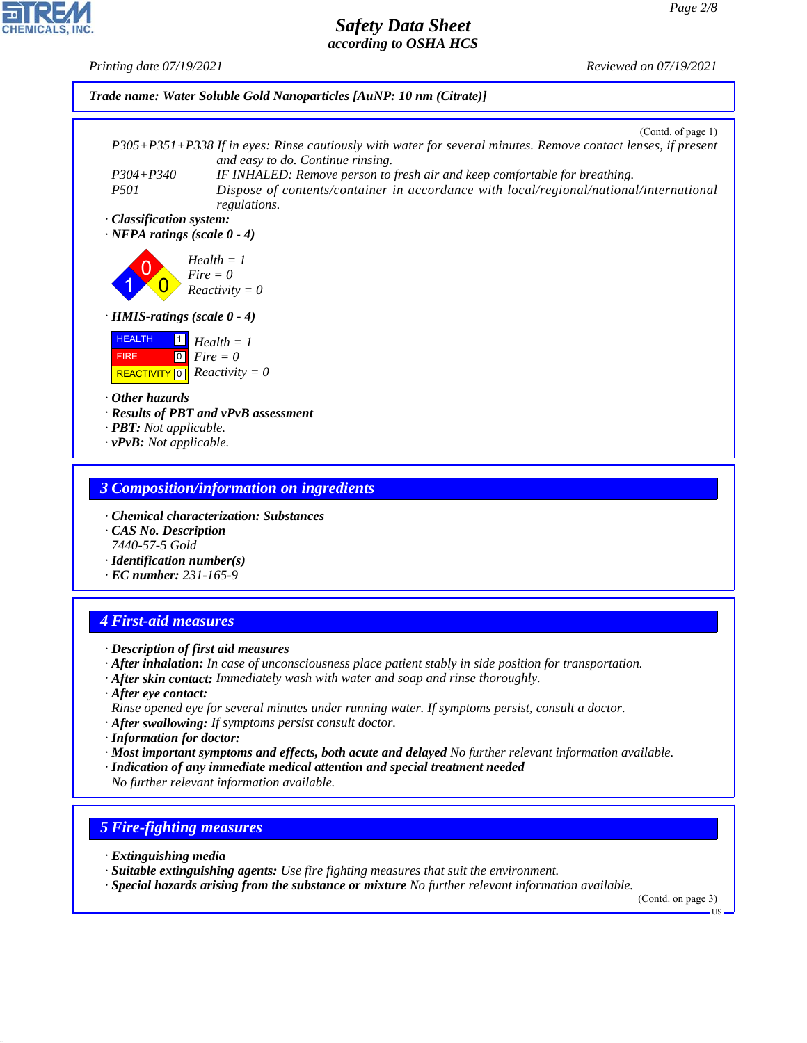*Printing date 07/19/2021 Reviewed on 07/19/2021*



#### *3 Composition/information on ingredients*

- *· Chemical characterization: Substances*
- *· CAS No. Description 7440-57-5 Gold*
- *· Identification number(s)*
- *· EC number: 231-165-9*

# *4 First-aid measures*

- *· Description of first aid measures*
- *· After inhalation: In case of unconsciousness place patient stably in side position for transportation.*
- *· After skin contact: Immediately wash with water and soap and rinse thoroughly.*
- *· After eye contact: Rinse opened eye for several minutes under running water. If symptoms persist, consult a doctor.*
- *· After swallowing: If symptoms persist consult doctor.*
- *· Information for doctor:*
- *· Most important symptoms and effects, both acute and delayed No further relevant information available.*
- *· Indication of any immediate medical attention and special treatment needed No further relevant information available.*

## *5 Fire-fighting measures*

*· Extinguishing media*

44.1.1

- *· Suitable extinguishing agents: Use fire fighting measures that suit the environment.*
- *· Special hazards arising from the substance or mixture No further relevant information available.*

(Contd. on page 3)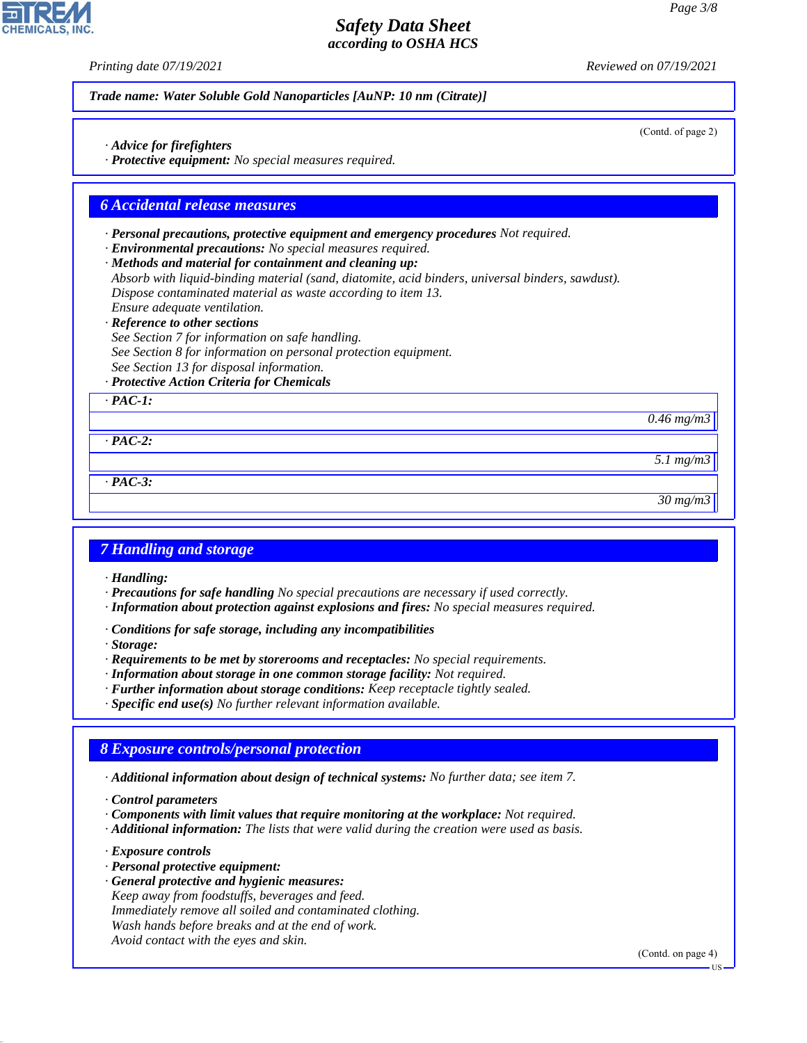(Contd. of page 2)

## *Safety Data Sheet according to OSHA HCS*

*Printing date 07/19/2021 Reviewed on 07/19/2021*

*Trade name: Water Soluble Gold Nanoparticles [AuNP: 10 nm (Citrate)]*

*· Advice for firefighters*

*· Protective equipment: No special measures required.*

#### *6 Accidental release measures*

*· Personal precautions, protective equipment and emergency procedures Not required.*

*· Environmental precautions: No special measures required.*

*· Methods and material for containment and cleaning up: Absorb with liquid-binding material (sand, diatomite, acid binders, universal binders, sawdust). Dispose contaminated material as waste according to item 13.*

*Ensure adequate ventilation.*

*· Reference to other sections*

*See Section 7 for information on safe handling. See Section 8 for information on personal protection equipment. See Section 13 for disposal information.*

*· Protective Action Criteria for Chemicals*

*· PAC-1:*

*0.46 mg/m3*

*· PAC-2:*

*· PAC-3:*

*30 mg/m3*

*5.1 mg/m3*

#### *7 Handling and storage*

*· Handling:*

- *· Precautions for safe handling No special precautions are necessary if used correctly.*
- *· Information about protection against explosions and fires: No special measures required.*
- *· Conditions for safe storage, including any incompatibilities*

*· Storage:*

- *· Requirements to be met by storerooms and receptacles: No special requirements.*
- *· Information about storage in one common storage facility: Not required.*
- *· Further information about storage conditions: Keep receptacle tightly sealed.*
- *· Specific end use(s) No further relevant information available.*

## *8 Exposure controls/personal protection*

*· Additional information about design of technical systems: No further data; see item 7.*

*· Control parameters*

- *· Components with limit values that require monitoring at the workplace: Not required.*
- *· Additional information: The lists that were valid during the creation were used as basis.*

*· Exposure controls*

44.1.1

- *· Personal protective equipment:*
- *· General protective and hygienic measures: Keep away from foodstuffs, beverages and feed. Immediately remove all soiled and contaminated clothing. Wash hands before breaks and at the end of work. Avoid contact with the eyes and skin.*

(Contd. on page 4)

US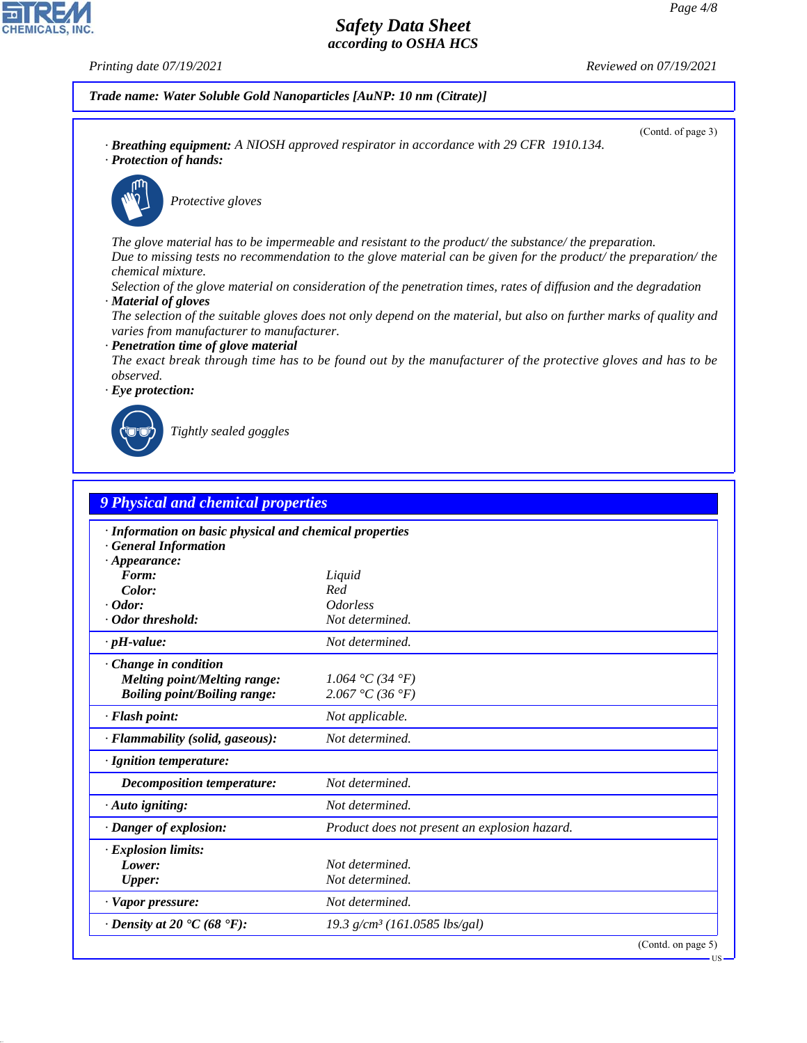**CHEMICALS, INC** 

*Printing date 07/19/2021 Reviewed on 07/19/2021*

(Contd. of page 3)

*Trade name: Water Soluble Gold Nanoparticles [AuNP: 10 nm (Citrate)]*

*· Breathing equipment: A NIOSH approved respirator in accordance with 29 CFR 1910.134. · Protection of hands:*





\_S*Protective gloves*

*The glove material has to be impermeable and resistant to the product/ the substance/ the preparation. Due to missing tests no recommendation to the glove material can be given for the product/ the preparation/ the chemical mixture.*

- *Selection of the glove material on consideration of the penetration times, rates of diffusion and the degradation · Material of gloves*
- *The selection of the suitable gloves does not only depend on the material, but also on further marks of quality and varies from manufacturer to manufacturer.*

#### *· Penetration time of glove material*

*The exact break through time has to be found out by the manufacturer of the protective gloves and has to be observed.*





44.1.1

\_R*Tightly sealed goggles*

| <b>9 Physical and chemical properties</b>                                                                    |                                               |                    |
|--------------------------------------------------------------------------------------------------------------|-----------------------------------------------|--------------------|
| · Information on basic physical and chemical properties<br><b>General Information</b><br>$\cdot$ Appearance: |                                               |                    |
| Form:                                                                                                        | Liquid                                        |                    |
| Color:                                                                                                       | Red                                           |                    |
| $\cdot$ Odor:                                                                                                | <i><u><b>Odorless</b></u></i>                 |                    |
| Odor threshold:                                                                                              | Not determined.                               |                    |
| $\cdot$ pH-value:                                                                                            | Not determined.                               |                    |
| Change in condition<br><b>Melting point/Melting range:</b><br><b>Boiling point/Boiling range:</b>            | 1.064 °C (34 °F)<br>2.067 °C (36 °F)          |                    |
| · Flash point:                                                                                               | Not applicable.                               |                    |
| · Flammability (solid, gaseous):                                                                             | Not determined.                               |                    |
| · Ignition temperature:                                                                                      |                                               |                    |
| <b>Decomposition temperature:</b>                                                                            | Not determined.                               |                    |
| · Auto igniting:                                                                                             | Not determined.                               |                    |
| · Danger of explosion:                                                                                       | Product does not present an explosion hazard. |                    |
| · Explosion limits:<br>Lower:<br><b>Upper:</b>                                                               | Not determined.<br>Not determined.            |                    |
| · Vapor pressure:                                                                                            | Not determined.                               |                    |
| $\cdot$ Density at 20 $\textdegree$ C (68 $\textdegree$ F):                                                  | 19.3 g/cm <sup>3</sup> (161.0585 lbs/gal)     |                    |
|                                                                                                              |                                               | (Contd. on page 5) |

US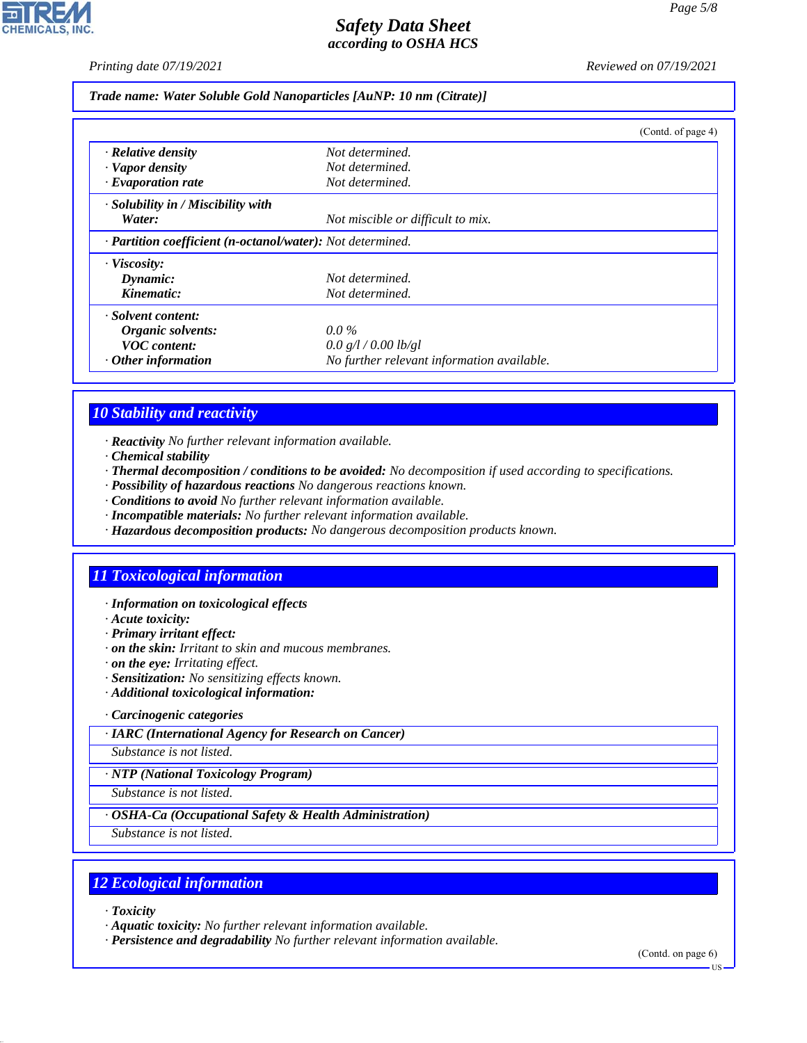*Printing date 07/19/2021 Reviewed on 07/19/2021*

*Trade name: Water Soluble Gold Nanoparticles [AuNP: 10 nm (Citrate)]*

|                                                            |                                            | (Contd. of page 4) |
|------------------------------------------------------------|--------------------------------------------|--------------------|
| · Relative density                                         | Not determined.                            |                    |
| · Vapor density                                            | Not determined.                            |                    |
| $\cdot$ Evaporation rate                                   | Not determined.                            |                    |
| $\cdot$ Solubility in / Miscibility with                   |                                            |                    |
| Water:                                                     | Not miscible or difficult to mix.          |                    |
| · Partition coefficient (n-octanol/water): Not determined. |                                            |                    |
| $\cdot$ Viscosity:                                         |                                            |                    |
| Dynamic:                                                   | Not determined.                            |                    |
| Kinematic:                                                 | Not determined.                            |                    |
| · Solvent content:                                         |                                            |                    |
| Organic solvents:                                          | $0.0\%$                                    |                    |
| <b>VOC</b> content:                                        | 0.0 g/l / 0.00 lb/gl                       |                    |
| $\cdot$ Other information                                  | No further relevant information available. |                    |

## *10 Stability and reactivity*

- *· Reactivity No further relevant information available.*
- *· Chemical stability*
- *· Thermal decomposition / conditions to be avoided: No decomposition if used according to specifications.*
- *· Possibility of hazardous reactions No dangerous reactions known.*
- *· Conditions to avoid No further relevant information available.*
- *· Incompatible materials: No further relevant information available.*
- *· Hazardous decomposition products: No dangerous decomposition products known.*

## *11 Toxicological information*

- *· Information on toxicological effects*
- *· Acute toxicity:*
- *· Primary irritant effect:*
- *· on the skin: Irritant to skin and mucous membranes.*
- *· on the eye: Irritating effect.*
- *· Sensitization: No sensitizing effects known.*
- *· Additional toxicological information:*

*· Carcinogenic categories*

*· IARC (International Agency for Research on Cancer)*

*Substance is not listed.*

*· NTP (National Toxicology Program)*

*Substance is not listed.*

*· OSHA-Ca (Occupational Safety & Health Administration)*

*Substance is not listed.*

## *12 Ecological information*

*· Toxicity*

44.1.1

*· Aquatic toxicity: No further relevant information available.*

*· Persistence and degradability No further relevant information available.*

(Contd. on page 6)

US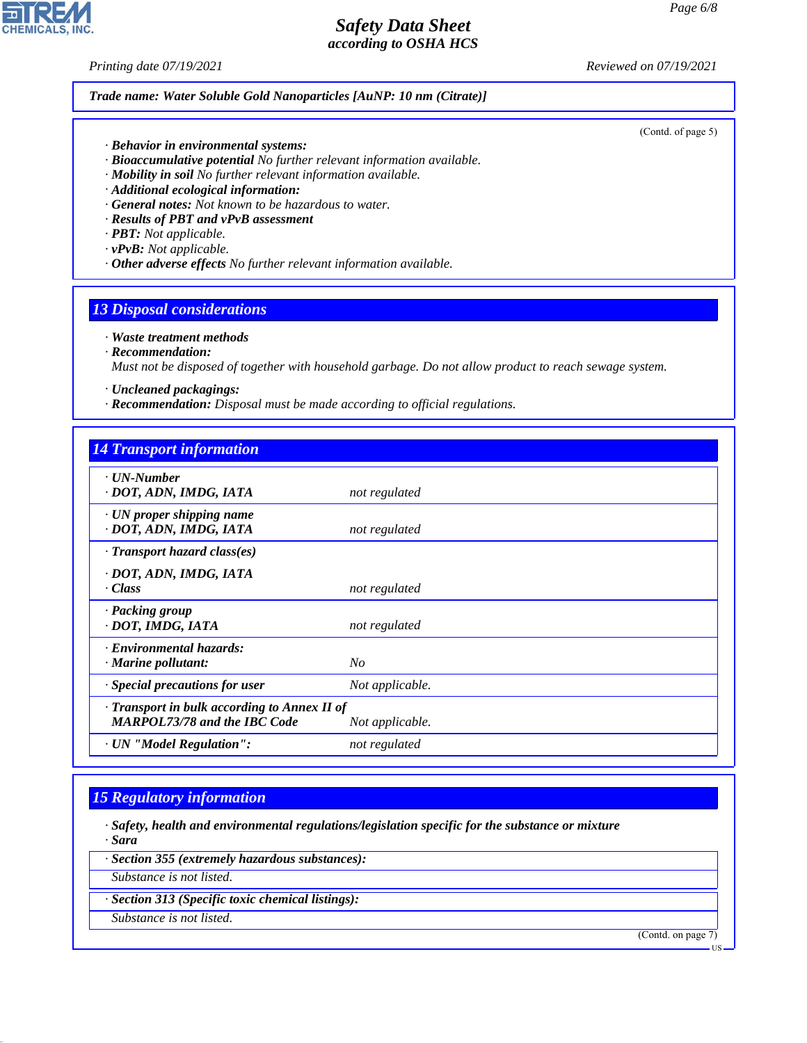**CHEMICALS, INC.** 

*Printing date 07/19/2021 Reviewed on 07/19/2021*

#### *Trade name: Water Soluble Gold Nanoparticles [AuNP: 10 nm (Citrate)]*

(Contd. of page 5)

- *· Behavior in environmental systems:*
- *· Bioaccumulative potential No further relevant information available.*
- *· Mobility in soil No further relevant information available.*
- *· Additional ecological information:*
- *· General notes: Not known to be hazardous to water.*
- *· Results of PBT and vPvB assessment*
- *· PBT: Not applicable.*
- *· vPvB: Not applicable.*
- *· Other adverse effects No further relevant information available.*

#### *13 Disposal considerations*

#### *· Waste treatment methods*

*· Recommendation:*

*Must not be disposed of together with household garbage. Do not allow product to reach sewage system.*

- *· Uncleaned packagings:*
- *· Recommendation: Disposal must be made according to official regulations.*

| <b>14 Transport information</b>                                                     |                 |
|-------------------------------------------------------------------------------------|-----------------|
| $\cdot$ UN-Number<br>· DOT, ADN, IMDG, IATA                                         | not regulated   |
| $\cdot$ UN proper shipping name<br>· DOT, ADN, IMDG, IATA                           | not regulated   |
| $\cdot$ Transport hazard class(es)                                                  |                 |
| · DOT, ADN, IMDG, IATA<br>· Class                                                   | not regulated   |
| · Packing group<br>· DOT, IMDG, IATA                                                | not regulated   |
| · Environmental hazards:<br>$\cdot$ Marine pollutant:                               | No              |
| Special precautions for user                                                        | Not applicable. |
| · Transport in bulk according to Annex II of<br><b>MARPOL73/78 and the IBC Code</b> | Not applicable. |
| · UN "Model Regulation":                                                            | not regulated   |

#### *15 Regulatory information*

- *· Safety, health and environmental regulations/legislation specific for the substance or mixture · Sara*
- *· Section 355 (extremely hazardous substances):*
- *Substance is not listed.*
- *· Section 313 (Specific toxic chemical listings):*
- *Substance is not listed.*

44.1.1

(Contd. on page 7)

US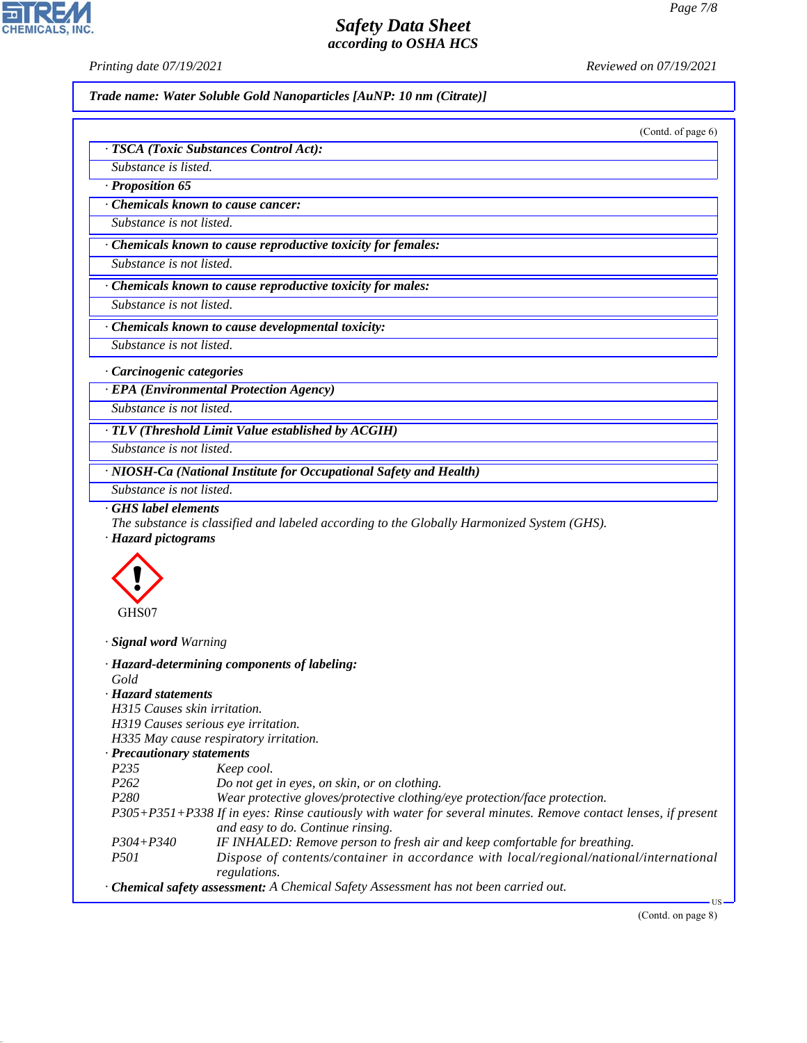*· TSCA (Toxic Substances Control Act):*

*Printing date 07/19/2021 Reviewed on 07/19/2021*

*Trade name: Water Soluble Gold Nanoparticles [AuNP: 10 nm (Citrate)]*

(Contd. of page 6)

| Substance is listed.             |                                                                                                                                                                      |
|----------------------------------|----------------------------------------------------------------------------------------------------------------------------------------------------------------------|
| · Proposition 65                 |                                                                                                                                                                      |
|                                  | Chemicals known to cause cancer:                                                                                                                                     |
| Substance is not listed.         |                                                                                                                                                                      |
|                                  | · Chemicals known to cause reproductive toxicity for females:                                                                                                        |
| Substance is not listed.         |                                                                                                                                                                      |
|                                  | Chemicals known to cause reproductive toxicity for males:                                                                                                            |
| Substance is not listed.         |                                                                                                                                                                      |
|                                  | Chemicals known to cause developmental toxicity:                                                                                                                     |
| Substance is not listed.         |                                                                                                                                                                      |
| · Carcinogenic categories        |                                                                                                                                                                      |
|                                  | · EPA (Environmental Protection Agency)                                                                                                                              |
| Substance is not listed.         |                                                                                                                                                                      |
|                                  | · TLV (Threshold Limit Value established by ACGIH)                                                                                                                   |
| Substance is not listed.         |                                                                                                                                                                      |
|                                  | · NIOSH-Ca (National Institute for Occupational Safety and Health)                                                                                                   |
| Substance is not listed.         |                                                                                                                                                                      |
| GHS label elements               |                                                                                                                                                                      |
|                                  | The substance is classified and labeled according to the Globally Harmonized System (GHS).                                                                           |
| · Hazard pictograms              |                                                                                                                                                                      |
| GHS07                            |                                                                                                                                                                      |
| · Signal word Warning            |                                                                                                                                                                      |
|                                  | · Hazard-determining components of labeling:                                                                                                                         |
| Gold<br>· Hazard statements      |                                                                                                                                                                      |
| H315 Causes skin irritation.     |                                                                                                                                                                      |
|                                  | H319 Causes serious eye irritation.                                                                                                                                  |
|                                  | H335 May cause respiratory irritation.                                                                                                                               |
| $\cdot$ Precautionary statements |                                                                                                                                                                      |
| P235<br>P262                     | Keep cool.<br>Do not get in eyes, on skin, or on clothing.                                                                                                           |
| P <sub>280</sub>                 | Wear protective gloves/protective clothing/eye protection/face protection.                                                                                           |
|                                  | P305+P351+P338 If in eyes: Rinse cautiously with water for several minutes. Remove contact lenses, if present                                                        |
|                                  | and easy to do. Continue rinsing.                                                                                                                                    |
| $P304 + P340$                    | IF INHALED: Remove person to fresh air and keep comfortable for breathing.<br>Dispose of contents/container in accordance with local/regional/national/international |
| <i>P501</i>                      | regulations.                                                                                                                                                         |
|                                  | · Chemical safety assessment: A Chemical Safety Assessment has not been carried out.                                                                                 |
|                                  | ٠US<br>(Contd. on page 8)                                                                                                                                            |
|                                  |                                                                                                                                                                      |
|                                  |                                                                                                                                                                      |
|                                  |                                                                                                                                                                      |



44.1.1